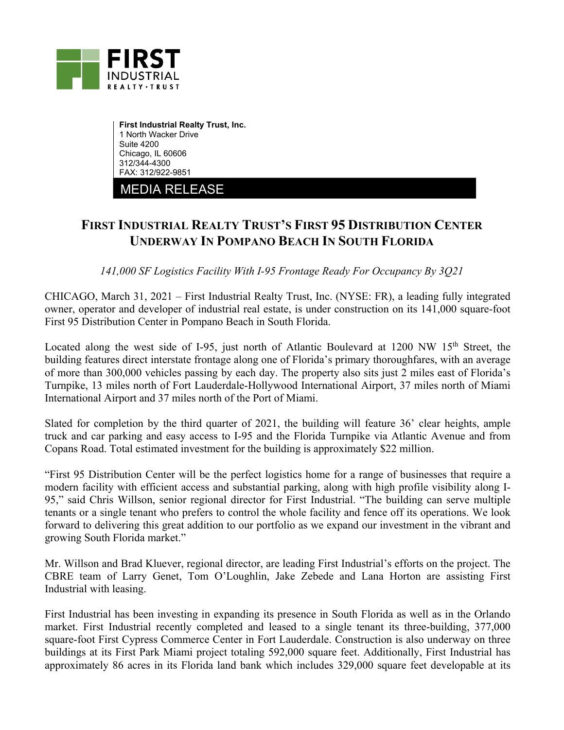

**First Industrial Realty Trust, Inc.**  1 North Wacker Drive Suite 4200 Chicago, IL 60606 312/344-4300 FAX: 312/922-9851

MEDIA RELEASE

## **FIRST INDUSTRIAL REALTY TRUST'S FIRST 95 DISTRIBUTION CENTER UNDERWAY IN POMPANO BEACH IN SOUTH FLORIDA**

*141,000 SF Logistics Facility With I-95 Frontage Ready For Occupancy By 3Q21* 

CHICAGO, March 31, 2021 – First Industrial Realty Trust, Inc. (NYSE: FR), a leading fully integrated owner, operator and developer of industrial real estate, is under construction on its 141,000 square-foot First 95 Distribution Center in Pompano Beach in South Florida.

Located along the west side of I-95, just north of Atlantic Boulevard at 1200 NW 15<sup>th</sup> Street, the building features direct interstate frontage along one of Florida's primary thoroughfares, with an average of more than 300,000 vehicles passing by each day. The property also sits just 2 miles east of Florida's Turnpike, 13 miles north of Fort Lauderdale-Hollywood International Airport, 37 miles north of Miami International Airport and 37 miles north of the Port of Miami.

Slated for completion by the third quarter of 2021, the building will feature 36' clear heights, ample truck and car parking and easy access to I-95 and the Florida Turnpike via Atlantic Avenue and from Copans Road. Total estimated investment for the building is approximately \$22 million.

"First 95 Distribution Center will be the perfect logistics home for a range of businesses that require a modern facility with efficient access and substantial parking, along with high profile visibility along I-95," said Chris Willson, senior regional director for First Industrial. "The building can serve multiple tenants or a single tenant who prefers to control the whole facility and fence off its operations. We look forward to delivering this great addition to our portfolio as we expand our investment in the vibrant and growing South Florida market."

Mr. Willson and Brad Kluever, regional director, are leading First Industrial's efforts on the project. The CBRE team of Larry Genet, Tom O'Loughlin, Jake Zebede and Lana Horton are assisting First Industrial with leasing.

First Industrial has been investing in expanding its presence in South Florida as well as in the Orlando market. First Industrial recently completed and leased to a single tenant its three-building, 377,000 square-foot First Cypress Commerce Center in Fort Lauderdale. Construction is also underway on three buildings at its First Park Miami project totaling 592,000 square feet. Additionally, First Industrial has approximately 86 acres in its Florida land bank which includes 329,000 square feet developable at its